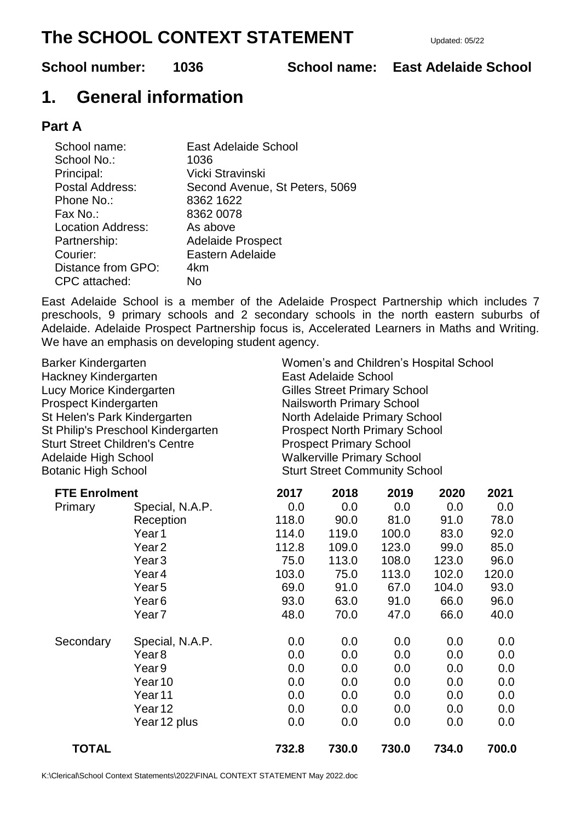# **The SCHOOL CONTEXT STATEMENT** Updated: 05/22

**School number: 1036 School name: East Adelaide School**

# **1. General information**

# **Part A**

| School name:             | East Adelaide School           |
|--------------------------|--------------------------------|
| School No.:              | 1036                           |
| Principal:               | Vicki Stravinski               |
| Postal Address:          | Second Avenue, St Peters, 5069 |
| Phone No.:               | 8362 1622                      |
| Fax No.:                 | 8362 0078                      |
| <b>Location Address:</b> | As above                       |
| Partnership:             | <b>Adelaide Prospect</b>       |
| Courier:                 | Eastern Adelaide               |
| Distance from GPO:       | 4km                            |
| CPC attached:            | No                             |

East Adelaide School is a member of the Adelaide Prospect Partnership which includes 7 preschools, 9 primary schools and 2 secondary schools in the north eastern suburbs of Adelaide. Adelaide Prospect Partnership focus is, Accelerated Learners in Maths and Writing. We have an emphasis on developing student agency.

| Barker Kindergarten                   |                    | Women's and Children's Hospital School |       |       |       |       |  |
|---------------------------------------|--------------------|----------------------------------------|-------|-------|-------|-------|--|
| Hackney Kindergarten                  |                    | East Adelaide School                   |       |       |       |       |  |
| Lucy Morice Kindergarten              |                    | <b>Gilles Street Primary School</b>    |       |       |       |       |  |
| Prospect Kindergarten                 |                    | Nailsworth Primary School              |       |       |       |       |  |
| St Helen's Park Kindergarten          |                    | North Adelaide Primary School          |       |       |       |       |  |
| St Philip's Preschool Kindergarten    |                    | <b>Prospect North Primary School</b>   |       |       |       |       |  |
| <b>Sturt Street Children's Centre</b> |                    | <b>Prospect Primary School</b>         |       |       |       |       |  |
| <b>Adelaide High School</b>           |                    | <b>Walkerville Primary School</b>      |       |       |       |       |  |
| <b>Botanic High School</b>            |                    | <b>Sturt Street Community School</b>   |       |       |       |       |  |
| <b>FTE Enrolment</b>                  |                    | 2017                                   | 2018  | 2019  | 2020  | 2021  |  |
| Primary                               | Special, N.A.P.    | 0.0                                    | 0.0   | 0.0   | 0.0   | 0.0   |  |
|                                       | Reception          | 118.0                                  | 90.0  | 81.0  | 91.0  | 78.0  |  |
|                                       | Year <sub>1</sub>  | 114.0                                  | 119.0 | 100.0 | 83.0  | 92.0  |  |
|                                       | Year <sub>2</sub>  | 112.8                                  | 109.0 | 123.0 | 99.0  | 85.0  |  |
|                                       | Year <sub>3</sub>  | 75.0                                   | 113.0 | 108.0 | 123.0 | 96.0  |  |
|                                       | Year <sub>4</sub>  | 103.0                                  | 75.0  | 113.0 | 102.0 | 120.0 |  |
|                                       | Year <sub>5</sub>  | 69.0                                   | 91.0  | 67.0  | 104.0 | 93.0  |  |
|                                       | Year <sub>6</sub>  | 93.0                                   | 63.0  | 91.0  | 66.0  | 96.0  |  |
|                                       | Year <sub>7</sub>  | 48.0                                   | 70.0  | 47.0  | 66.0  | 40.0  |  |
| Secondary                             | Special, N.A.P.    | 0.0                                    | 0.0   | 0.0   | 0.0   | 0.0   |  |
|                                       | Year <sub>8</sub>  | 0.0                                    | 0.0   | 0.0   | 0.0   | 0.0   |  |
|                                       | Year <sub>9</sub>  | 0.0                                    | 0.0   | 0.0   | 0.0   | 0.0   |  |
|                                       | Year <sub>10</sub> | 0.0                                    | 0.0   | 0.0   | 0.0   | 0.0   |  |
|                                       | Year <sub>11</sub> | 0.0                                    | 0.0   | 0.0   | 0.0   | 0.0   |  |
|                                       | Year <sub>12</sub> | 0.0                                    | 0.0   | 0.0   | 0.0   | 0.0   |  |
|                                       | Year 12 plus       | 0.0                                    | 0.0   | 0.0   | 0.0   | 0.0   |  |
| <b>TOTAL</b>                          |                    | 732.8                                  | 730.0 | 730.0 | 734.0 | 700.0 |  |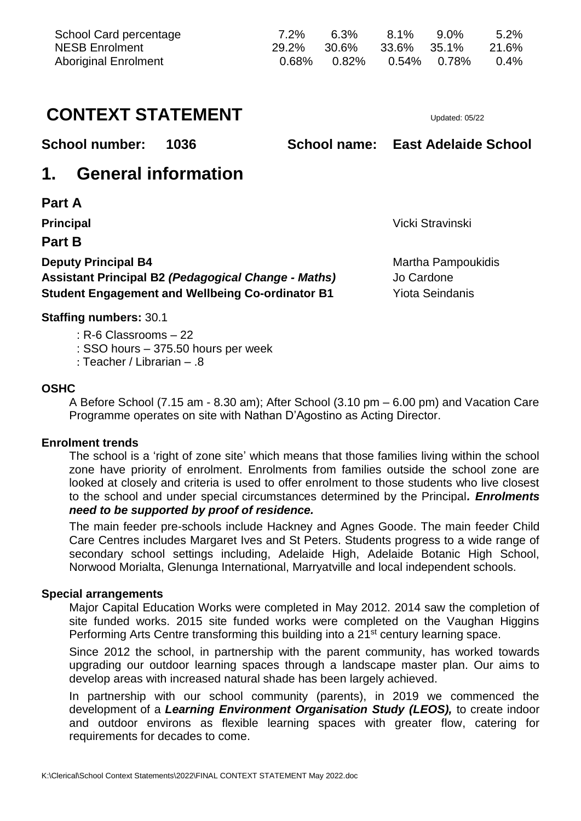| School Card percentage<br><b>NESB Enrolment</b><br><b>Aboriginal Enrolment</b> |                            | 7.2%<br>29.2%<br>0.68% | 6.3%<br>30.6%<br>0.82%            | 8.1%<br>33.6%<br>$0.54\%$ | $9.0\%$<br>35.1%<br>0.78% | 5.2%<br>21.6%<br>0.4% |  |
|--------------------------------------------------------------------------------|----------------------------|------------------------|-----------------------------------|---------------------------|---------------------------|-----------------------|--|
| <b>CONTEXT STATEMENT</b>                                                       |                            |                        |                                   |                           | Updated: 05/22            |                       |  |
| <b>School number:</b>                                                          | 1036                       |                        | School name: East Adelaide School |                           |                           |                       |  |
| 1.                                                                             | <b>General information</b> |                        |                                   |                           |                           |                       |  |
| <b>Part A</b>                                                                  |                            |                        |                                   |                           |                           |                       |  |
| <b>Principal</b>                                                               |                            |                        | Vicki Stravinski                  |                           |                           |                       |  |
| <b>Part B</b>                                                                  |                            |                        |                                   |                           |                           |                       |  |
| <b>Deputy Principal B4</b>                                                     |                            |                        |                                   | Martha Pampoukidis        |                           |                       |  |
| <b>Assistant Principal B2 (Pedagogical Change - Maths)</b>                     |                            |                        | Jo Cardone                        |                           |                           |                       |  |
| <b>Student Engagement and Wellbeing Co-ordinator B1</b>                        |                            |                        | <b>Yiota Seindanis</b>            |                           |                           |                       |  |
| <b>Staffing numbers: 30.1</b>                                                  |                            |                        |                                   |                           |                           |                       |  |

- : R-6 Classrooms 22
- : SSO hours 375.50 hours per week
- : Teacher / Librarian .8

# **OSHC**

A Before School (7.15 am - 8.30 am); After School (3.10 pm – 6.00 pm) and Vacation Care Programme operates on site with Nathan D'Agostino as Acting Director.

# **Enrolment trends**

The school is a 'right of zone site' which means that those families living within the school zone have priority of enrolment. Enrolments from families outside the school zone are looked at closely and criteria is used to offer enrolment to those students who live closest to the school and under special circumstances determined by the Principal*. Enrolments need to be supported by proof of residence.* 

The main feeder pre-schools include Hackney and Agnes Goode. The main feeder Child Care Centres includes Margaret Ives and St Peters. Students progress to a wide range of secondary school settings including, Adelaide High, Adelaide Botanic High School, Norwood Morialta, Glenunga International, Marryatville and local independent schools.

# **Special arrangements**

Major Capital Education Works were completed in May 2012. 2014 saw the completion of site funded works. 2015 site funded works were completed on the Vaughan Higgins Performing Arts Centre transforming this building into a 21<sup>st</sup> century learning space.

Since 2012 the school, in partnership with the parent community, has worked towards upgrading our outdoor learning spaces through a landscape master plan. Our aims to develop areas with increased natural shade has been largely achieved.

In partnership with our school community (parents), in 2019 we commenced the development of a *Learning Environment Organisation Study (LEOS),* to create indoor and outdoor environs as flexible learning spaces with greater flow, catering for requirements for decades to come.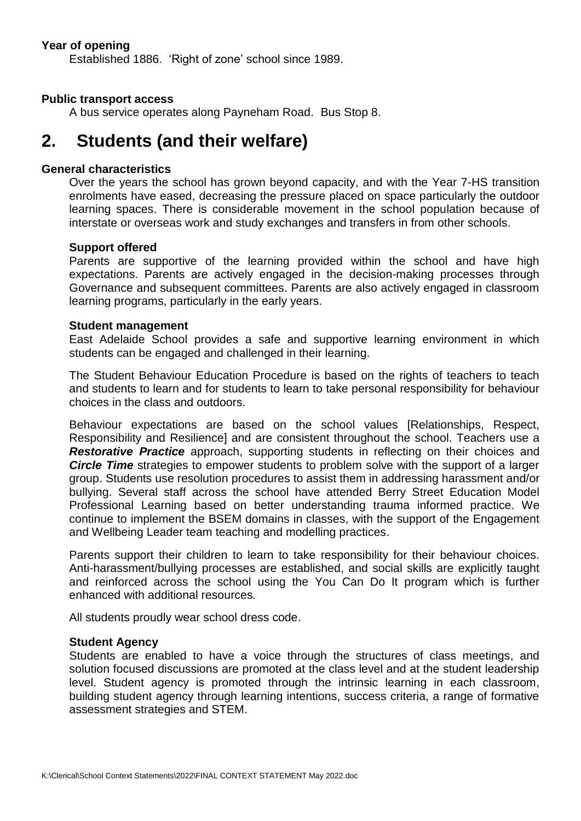# **Year of opening**

Established 1886. 'Right of zone' school since 1989.

### **Public transport access**

A bus service operates along Payneham Road. Bus Stop 8.

# **2. Students (and their welfare)**

### **General characteristics**

Over the years the school has grown beyond capacity, and with the Year 7-HS transition enrolments have eased, decreasing the pressure placed on space particularly the outdoor learning spaces. There is considerable movement in the school population because of interstate or overseas work and study exchanges and transfers in from other schools.

#### **Support offered**

Parents are supportive of the learning provided within the school and have high expectations. Parents are actively engaged in the decision-making processes through Governance and subsequent committees. Parents are also actively engaged in classroom learning programs, particularly in the early years.

### **Student management**

East Adelaide School provides a safe and supportive learning environment in which students can be engaged and challenged in their learning.

The Student Behaviour Education Procedure is based on the rights of teachers to teach and students to learn and for students to learn to take personal responsibility for behaviour choices in the class and outdoors.

Behaviour expectations are based on the school values [Relationships, Respect, Responsibility and Resilience] and are consistent throughout the school. Teachers use a **Restorative Practice** approach, supporting students in reflecting on their choices and *Circle Time* strategies to empower students to problem solve with the support of a larger group. Students use resolution procedures to assist them in addressing harassment and/or bullying. Several staff across the school have attended Berry Street Education Model Professional Learning based on better understanding trauma informed practice. We continue to implement the BSEM domains in classes, with the support of the Engagement and Wellbeing Leader team teaching and modelling practices.

Parents support their children to learn to take responsibility for their behaviour choices. Anti-harassment/bullying processes are established, and social skills are explicitly taught and reinforced across the school using the You Can Do It program which is further enhanced with additional resources*.*

All students proudly wear school dress code.

#### **Student Agency**

Students are enabled to have a voice through the structures of class meetings, and solution focused discussions are promoted at the class level and at the student leadership level. Student agency is promoted through the intrinsic learning in each classroom, building student agency through learning intentions, success criteria, a range of formative assessment strategies and STEM.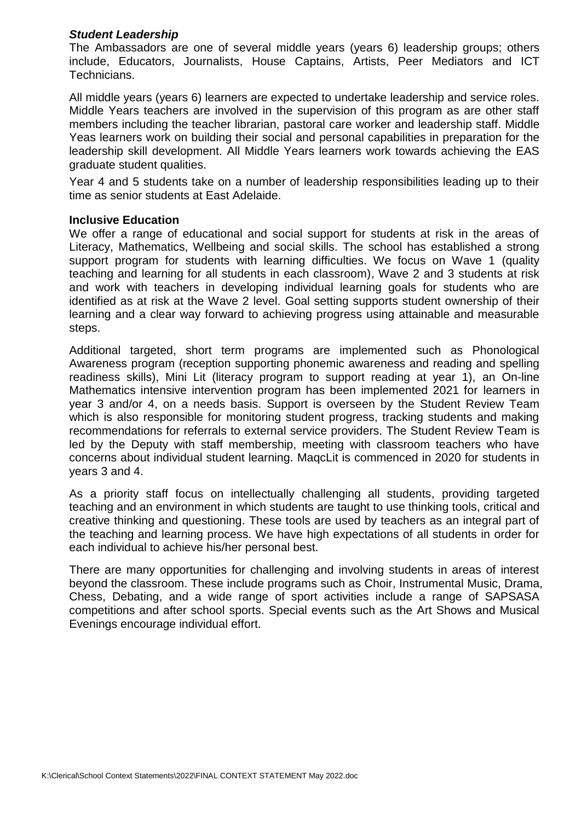## *Student Leadership*

The Ambassadors are one of several middle years (years 6) leadership groups; others include, Educators, Journalists, House Captains, Artists, Peer Mediators and ICT Technicians.

All middle years (years 6) learners are expected to undertake leadership and service roles. Middle Years teachers are involved in the supervision of this program as are other staff members including the teacher librarian, pastoral care worker and leadership staff. Middle Yeas learners work on building their social and personal capabilities in preparation for the leadership skill development. All Middle Years learners work towards achieving the EAS graduate student qualities.

Year 4 and 5 students take on a number of leadership responsibilities leading up to their time as senior students at East Adelaide.

### **Inclusive Education**

We offer a range of educational and social support for students at risk in the areas of Literacy, Mathematics, Wellbeing and social skills. The school has established a strong support program for students with learning difficulties. We focus on Wave 1 (quality teaching and learning for all students in each classroom), Wave 2 and 3 students at risk and work with teachers in developing individual learning goals for students who are identified as at risk at the Wave 2 level. Goal setting supports student ownership of their learning and a clear way forward to achieving progress using attainable and measurable steps.

Additional targeted, short term programs are implemented such as Phonological Awareness program (reception supporting phonemic awareness and reading and spelling readiness skills), Mini Lit (literacy program to support reading at year 1), an On-line Mathematics intensive intervention program has been implemented 2021 for learners in year 3 and/or 4, on a needs basis. Support is overseen by the Student Review Team which is also responsible for monitoring student progress, tracking students and making recommendations for referrals to external service providers. The Student Review Team is led by the Deputy with staff membership, meeting with classroom teachers who have concerns about individual student learning. MaqcLit is commenced in 2020 for students in years 3 and 4.

As a priority staff focus on intellectually challenging all students, providing targeted teaching and an environment in which students are taught to use thinking tools, critical and creative thinking and questioning. These tools are used by teachers as an integral part of the teaching and learning process. We have high expectations of all students in order for each individual to achieve his/her personal best.

There are many opportunities for challenging and involving students in areas of interest beyond the classroom. These include programs such as Choir, Instrumental Music, Drama, Chess, Debating, and a wide range of sport activities include a range of SAPSASA competitions and after school sports. Special events such as the Art Shows and Musical Evenings encourage individual effort.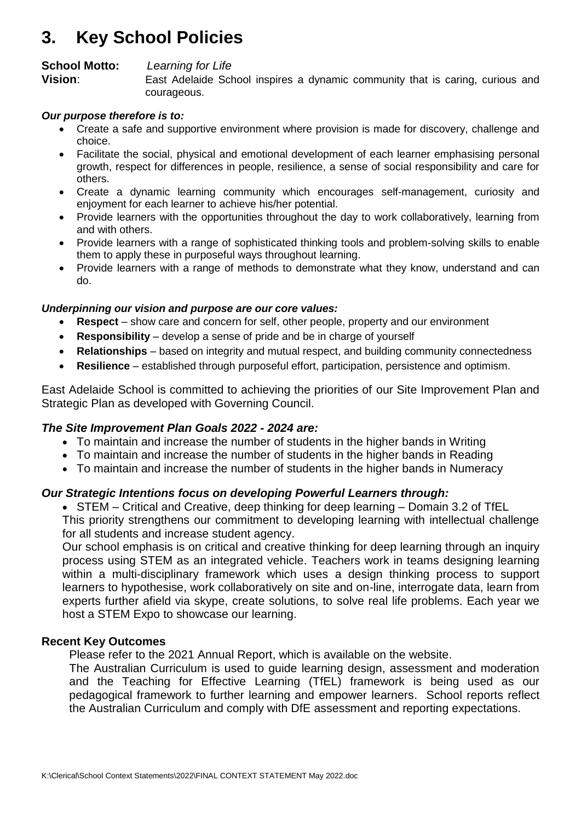# **3. Key School Policies**

# **School Motto:** *Learning for Life*

**Vision:** East Adelaide School inspires a dynamic community that is caring, curious and courageous.

## *Our purpose therefore is to:*

- Create a safe and supportive environment where provision is made for discovery, challenge and choice.
- Facilitate the social, physical and emotional development of each learner emphasising personal growth, respect for differences in people, resilience, a sense of social responsibility and care for others.
- Create a dynamic learning community which encourages self-management, curiosity and enjoyment for each learner to achieve his/her potential.
- Provide learners with the opportunities throughout the day to work collaboratively, learning from and with others.
- Provide learners with a range of sophisticated thinking tools and problem-solving skills to enable them to apply these in purposeful ways throughout learning.
- Provide learners with a range of methods to demonstrate what they know, understand and can do.

# *Underpinning our vision and purpose are our core values:*

- **Respect**  show care and concern for self, other people, property and our environment
- **Responsibility** develop a sense of pride and be in charge of yourself
- **Relationships** based on integrity and mutual respect, and building community connectedness
- **Resilience** established through purposeful effort, participation, persistence and optimism.

East Adelaide School is committed to achieving the priorities of our Site Improvement Plan and Strategic Plan as developed with Governing Council.

# *The Site Improvement Plan Goals 2022 - 2024 are:*

- To maintain and increase the number of students in the higher bands in Writing
- To maintain and increase the number of students in the higher bands in Reading
- To maintain and increase the number of students in the higher bands in Numeracy

# *Our Strategic Intentions focus on developing Powerful Learners through:*

 STEM – Critical and Creative, deep thinking for deep learning – Domain 3.2 of TfEL This priority strengthens our commitment to developing learning with intellectual challenge for all students and increase student agency.

Our school emphasis is on critical and creative thinking for deep learning through an inquiry process using STEM as an integrated vehicle. Teachers work in teams designing learning within a multi-disciplinary framework which uses a design thinking process to support learners to hypothesise, work collaboratively on site and on-line, interrogate data, learn from experts further afield via skype, create solutions, to solve real life problems. Each year we host a STEM Expo to showcase our learning.

### **Recent Key Outcomes**

Please refer to the 2021 Annual Report, which is available on the website.

The Australian Curriculum is used to guide learning design, assessment and moderation and the Teaching for Effective Learning (TfEL) framework is being used as our pedagogical framework to further learning and empower learners. School reports reflect the Australian Curriculum and comply with DfE assessment and reporting expectations.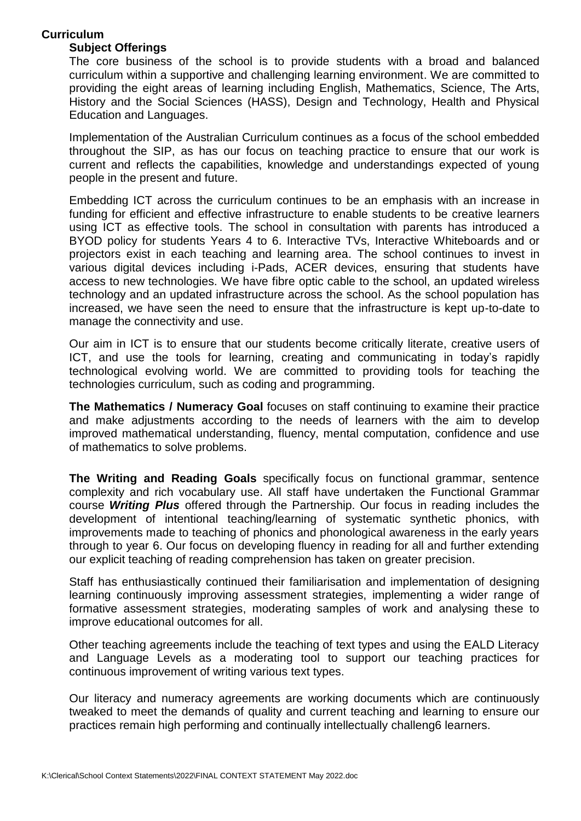# **Curriculum**

# **Subject Offerings**

The core business of the school is to provide students with a broad and balanced curriculum within a supportive and challenging learning environment. We are committed to providing the eight areas of learning including English, Mathematics, Science, The Arts, History and the Social Sciences (HASS), Design and Technology, Health and Physical Education and Languages.

Implementation of the Australian Curriculum continues as a focus of the school embedded throughout the SIP, as has our focus on teaching practice to ensure that our work is current and reflects the capabilities, knowledge and understandings expected of young people in the present and future.

Embedding ICT across the curriculum continues to be an emphasis with an increase in funding for efficient and effective infrastructure to enable students to be creative learners using ICT as effective tools. The school in consultation with parents has introduced a BYOD policy for students Years 4 to 6. Interactive TVs, Interactive Whiteboards and or projectors exist in each teaching and learning area. The school continues to invest in various digital devices including i-Pads, ACER devices, ensuring that students have access to new technologies. We have fibre optic cable to the school, an updated wireless technology and an updated infrastructure across the school. As the school population has increased, we have seen the need to ensure that the infrastructure is kept up-to-date to manage the connectivity and use.

Our aim in ICT is to ensure that our students become critically literate, creative users of ICT, and use the tools for learning, creating and communicating in today's rapidly technological evolving world. We are committed to providing tools for teaching the technologies curriculum, such as coding and programming.

**The Mathematics / Numeracy Goal** focuses on staff continuing to examine their practice and make adjustments according to the needs of learners with the aim to develop improved mathematical understanding, fluency, mental computation, confidence and use of mathematics to solve problems.

**The Writing and Reading Goals** specifically focus on functional grammar, sentence complexity and rich vocabulary use. All staff have undertaken the Functional Grammar course *Writing Plus* offered through the Partnership. Our focus in reading includes the development of intentional teaching/learning of systematic synthetic phonics, with improvements made to teaching of phonics and phonological awareness in the early years through to year 6. Our focus on developing fluency in reading for all and further extending our explicit teaching of reading comprehension has taken on greater precision.

Staff has enthusiastically continued their familiarisation and implementation of designing learning continuously improving assessment strategies, implementing a wider range of formative assessment strategies, moderating samples of work and analysing these to improve educational outcomes for all.

Other teaching agreements include the teaching of text types and using the EALD Literacy and Language Levels as a moderating tool to support our teaching practices for continuous improvement of writing various text types.

Our literacy and numeracy agreements are working documents which are continuously tweaked to meet the demands of quality and current teaching and learning to ensure our practices remain high performing and continually intellectually challeng6 learners.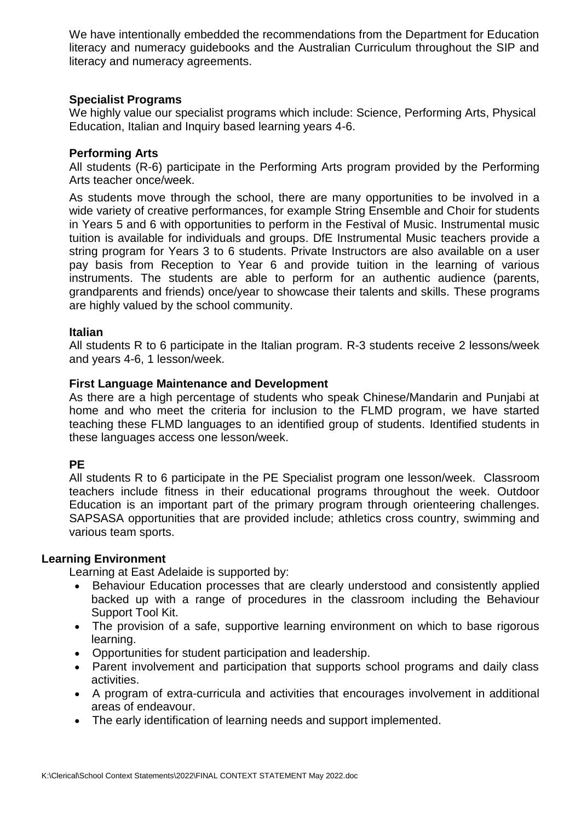We have intentionally embedded the recommendations from the Department for Education literacy and numeracy guidebooks and the Australian Curriculum throughout the SIP and literacy and numeracy agreements.

## **Specialist Programs**

We highly value our specialist programs which include: Science, Performing Arts, Physical Education, Italian and Inquiry based learning years 4-6.

# **Performing Arts**

All students (R-6) participate in the Performing Arts program provided by the Performing Arts teacher once/week.

As students move through the school, there are many opportunities to be involved in a wide variety of creative performances, for example String Ensemble and Choir for students in Years 5 and 6 with opportunities to perform in the Festival of Music. Instrumental music tuition is available for individuals and groups. DfE Instrumental Music teachers provide a string program for Years 3 to 6 students. Private Instructors are also available on a user pay basis from Reception to Year 6 and provide tuition in the learning of various instruments. The students are able to perform for an authentic audience (parents, grandparents and friends) once/year to showcase their talents and skills. These programs are highly valued by the school community.

## **Italian**

All students R to 6 participate in the Italian program. R-3 students receive 2 lessons/week and years 4-6, 1 lesson/week.

## **First Language Maintenance and Development**

As there are a high percentage of students who speak Chinese/Mandarin and Punjabi at home and who meet the criteria for inclusion to the FLMD program, we have started teaching these FLMD languages to an identified group of students. Identified students in these languages access one lesson/week.

# **PE**

All students R to 6 participate in the PE Specialist program one lesson/week. Classroom teachers include fitness in their educational programs throughout the week. Outdoor Education is an important part of the primary program through orienteering challenges. SAPSASA opportunities that are provided include; athletics cross country, swimming and various team sports.

### **Learning Environment**

Learning at East Adelaide is supported by:

- Behaviour Education processes that are clearly understood and consistently applied backed up with a range of procedures in the classroom including the Behaviour Support Tool Kit.
- The provision of a safe, supportive learning environment on which to base rigorous learning.
- Opportunities for student participation and leadership.
- Parent involvement and participation that supports school programs and daily class activities.
- A program of extra-curricula and activities that encourages involvement in additional areas of endeavour.
- The early identification of learning needs and support implemented.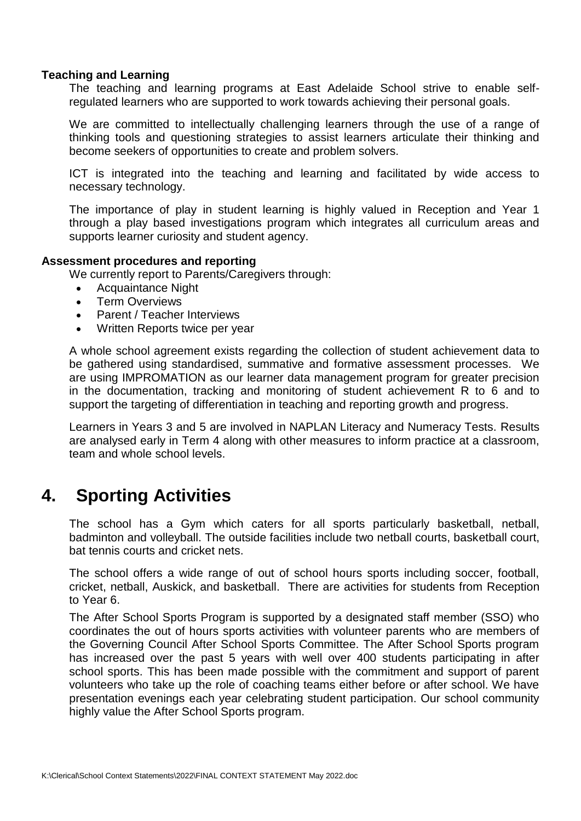## **Teaching and Learning**

The teaching and learning programs at East Adelaide School strive to enable selfregulated learners who are supported to work towards achieving their personal goals.

We are committed to intellectually challenging learners through the use of a range of thinking tools and questioning strategies to assist learners articulate their thinking and become seekers of opportunities to create and problem solvers.

ICT is integrated into the teaching and learning and facilitated by wide access to necessary technology.

The importance of play in student learning is highly valued in Reception and Year 1 through a play based investigations program which integrates all curriculum areas and supports learner curiosity and student agency.

### **Assessment procedures and reporting**

We currently report to Parents/Caregivers through:

- Acquaintance Night
- Term Overviews
- Parent / Teacher Interviews
- Written Reports twice per year

A whole school agreement exists regarding the collection of student achievement data to be gathered using standardised, summative and formative assessment processes. We are using IMPROMATION as our learner data management program for greater precision in the documentation, tracking and monitoring of student achievement R to 6 and to support the targeting of differentiation in teaching and reporting growth and progress.

Learners in Years 3 and 5 are involved in NAPLAN Literacy and Numeracy Tests. Results are analysed early in Term 4 along with other measures to inform practice at a classroom, team and whole school levels.

# **4. Sporting Activities**

The school has a Gym which caters for all sports particularly basketball, netball, badminton and volleyball. The outside facilities include two netball courts, basketball court, bat tennis courts and cricket nets.

The school offers a wide range of out of school hours sports including soccer, football, cricket, netball, Auskick, and basketball. There are activities for students from Reception to Year 6.

The After School Sports Program is supported by a designated staff member (SSO) who coordinates the out of hours sports activities with volunteer parents who are members of the Governing Council After School Sports Committee. The After School Sports program has increased over the past 5 years with well over 400 students participating in after school sports. This has been made possible with the commitment and support of parent volunteers who take up the role of coaching teams either before or after school. We have presentation evenings each year celebrating student participation. Our school community highly value the After School Sports program.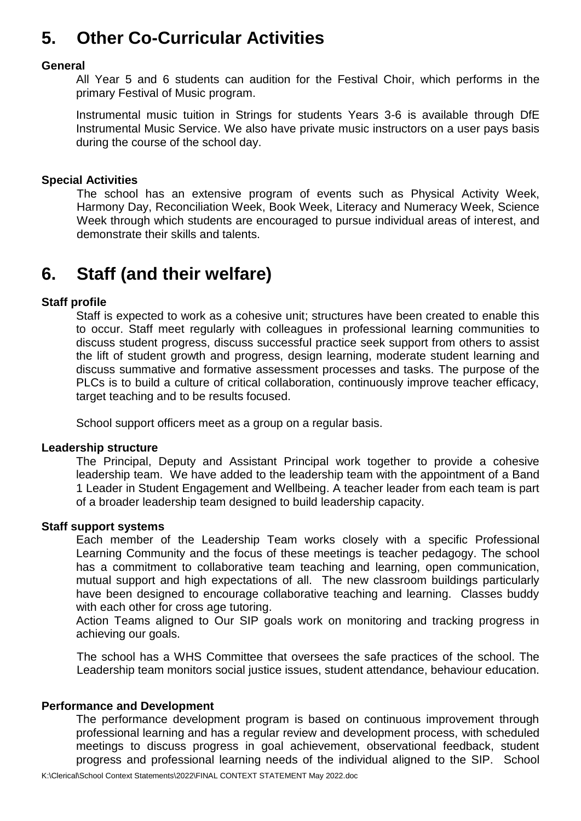# **5. Other Co-Curricular Activities**

# **General**

All Year 5 and 6 students can audition for the Festival Choir, which performs in the primary Festival of Music program.

Instrumental music tuition in Strings for students Years 3-6 is available through DfE Instrumental Music Service. We also have private music instructors on a user pays basis during the course of the school day.

# **Special Activities**

The school has an extensive program of events such as Physical Activity Week, Harmony Day, Reconciliation Week, Book Week, Literacy and Numeracy Week, Science Week through which students are encouraged to pursue individual areas of interest, and demonstrate their skills and talents.

# **6. Staff (and their welfare)**

# **Staff profile**

Staff is expected to work as a cohesive unit; structures have been created to enable this to occur. Staff meet regularly with colleagues in professional learning communities to discuss student progress, discuss successful practice seek support from others to assist the lift of student growth and progress, design learning, moderate student learning and discuss summative and formative assessment processes and tasks. The purpose of the PLCs is to build a culture of critical collaboration, continuously improve teacher efficacy, target teaching and to be results focused.

School support officers meet as a group on a regular basis.

# **Leadership structure**

The Principal, Deputy and Assistant Principal work together to provide a cohesive leadership team. We have added to the leadership team with the appointment of a Band 1 Leader in Student Engagement and Wellbeing. A teacher leader from each team is part of a broader leadership team designed to build leadership capacity.

# **Staff support systems**

Each member of the Leadership Team works closely with a specific Professional Learning Community and the focus of these meetings is teacher pedagogy. The school has a commitment to collaborative team teaching and learning, open communication, mutual support and high expectations of all. The new classroom buildings particularly have been designed to encourage collaborative teaching and learning. Classes buddy with each other for cross age tutoring.

Action Teams aligned to Our SIP goals work on monitoring and tracking progress in achieving our goals.

The school has a WHS Committee that oversees the safe practices of the school. The Leadership team monitors social justice issues, student attendance, behaviour education.

### **Performance and Development**

The performance development program is based on continuous improvement through professional learning and has a regular review and development process, with scheduled meetings to discuss progress in goal achievement, observational feedback, student progress and professional learning needs of the individual aligned to the SIP. School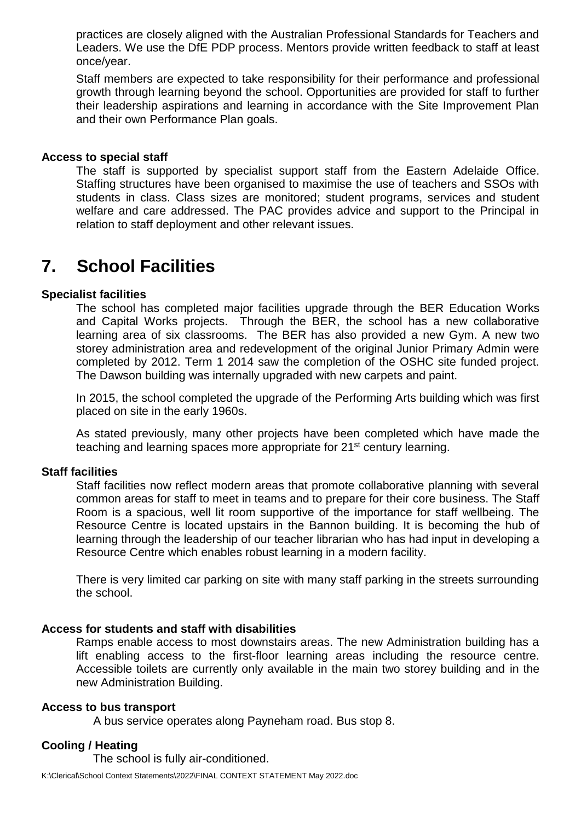practices are closely aligned with the Australian Professional Standards for Teachers and Leaders. We use the DfE PDP process. Mentors provide written feedback to staff at least once/year.

Staff members are expected to take responsibility for their performance and professional growth through learning beyond the school. Opportunities are provided for staff to further their leadership aspirations and learning in accordance with the Site Improvement Plan and their own Performance Plan goals.

### **Access to special staff**

The staff is supported by specialist support staff from the Eastern Adelaide Office. Staffing structures have been organised to maximise the use of teachers and SSOs with students in class. Class sizes are monitored; student programs, services and student welfare and care addressed. The PAC provides advice and support to the Principal in relation to staff deployment and other relevant issues.

# **7. School Facilities**

### **Specialist facilities**

The school has completed major facilities upgrade through the BER Education Works and Capital Works projects. Through the BER, the school has a new collaborative learning area of six classrooms. The BER has also provided a new Gym. A new two storey administration area and redevelopment of the original Junior Primary Admin were completed by 2012. Term 1 2014 saw the completion of the OSHC site funded project. The Dawson building was internally upgraded with new carpets and paint.

In 2015, the school completed the upgrade of the Performing Arts building which was first placed on site in the early 1960s.

As stated previously, many other projects have been completed which have made the teaching and learning spaces more appropriate for 21st century learning.

### **Staff facilities**

Staff facilities now reflect modern areas that promote collaborative planning with several common areas for staff to meet in teams and to prepare for their core business. The Staff Room is a spacious, well lit room supportive of the importance for staff wellbeing. The Resource Centre is located upstairs in the Bannon building. It is becoming the hub of learning through the leadership of our teacher librarian who has had input in developing a Resource Centre which enables robust learning in a modern facility.

There is very limited car parking on site with many staff parking in the streets surrounding the school.

### **Access for students and staff with disabilities**

Ramps enable access to most downstairs areas. The new Administration building has a lift enabling access to the first-floor learning areas including the resource centre. Accessible toilets are currently only available in the main two storey building and in the new Administration Building.

#### **Access to bus transport**

A bus service operates along Payneham road. Bus stop 8.

## **Cooling / Heating**

The school is fully air-conditioned.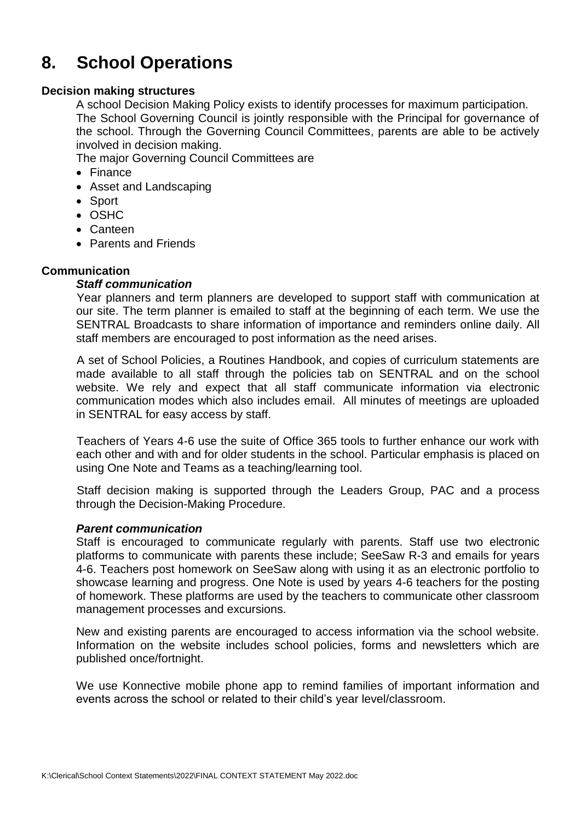# **8. School Operations**

# **Decision making structures**

A school Decision Making Policy exists to identify processes for maximum participation. The School Governing Council is jointly responsible with the Principal for governance of the school. Through the Governing Council Committees, parents are able to be actively involved in decision making.

The major Governing Council Committees are

- Finance
- Asset and Landscaping
- Sport
- OSHC
- Canteen
- Parents and Friends

# **Communication**

## *Staff communication*

Year planners and term planners are developed to support staff with communication at our site. The term planner is emailed to staff at the beginning of each term. We use the SENTRAL Broadcasts to share information of importance and reminders online daily. All staff members are encouraged to post information as the need arises.

A set of School Policies, a Routines Handbook, and copies of curriculum statements are made available to all staff through the policies tab on SENTRAL and on the school website. We rely and expect that all staff communicate information via electronic communication modes which also includes email. All minutes of meetings are uploaded in SENTRAL for easy access by staff.

Teachers of Years 4-6 use the suite of Office 365 tools to further enhance our work with each other and with and for older students in the school. Particular emphasis is placed on using One Note and Teams as a teaching/learning tool.

Staff decision making is supported through the Leaders Group, PAC and a process through the Decision-Making Procedure.

### *Parent communication*

Staff is encouraged to communicate regularly with parents. Staff use two electronic platforms to communicate with parents these include; SeeSaw R-3 and emails for years 4-6. Teachers post homework on SeeSaw along with using it as an electronic portfolio to showcase learning and progress. One Note is used by years 4-6 teachers for the posting of homework. These platforms are used by the teachers to communicate other classroom management processes and excursions.

New and existing parents are encouraged to access information via the school website. Information on the website includes school policies, forms and newsletters which are published once/fortnight.

We use Konnective mobile phone app to remind families of important information and events across the school or related to their child's year level/classroom.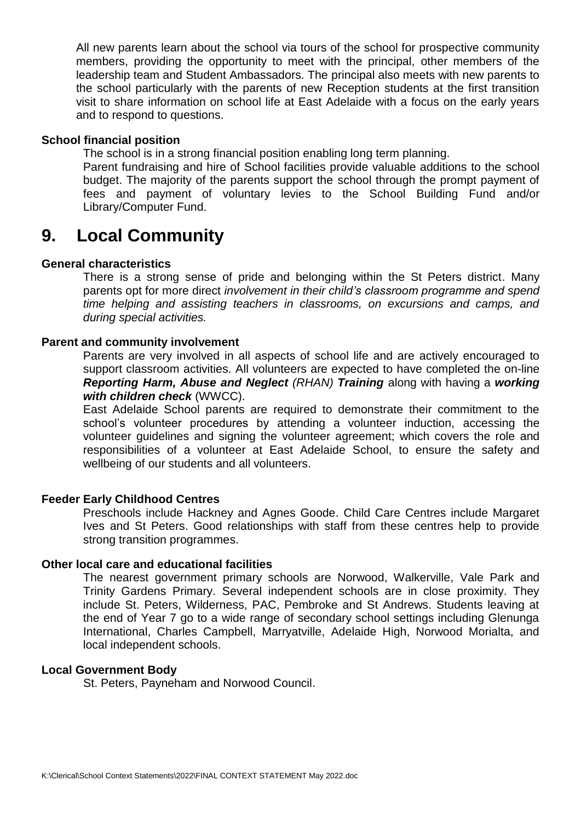All new parents learn about the school via tours of the school for prospective community members, providing the opportunity to meet with the principal, other members of the leadership team and Student Ambassadors. The principal also meets with new parents to the school particularly with the parents of new Reception students at the first transition visit to share information on school life at East Adelaide with a focus on the early years and to respond to questions.

### **School financial position**

The school is in a strong financial position enabling long term planning.

Parent fundraising and hire of School facilities provide valuable additions to the school budget. The majority of the parents support the school through the prompt payment of fees and payment of voluntary levies to the School Building Fund and/or Library/Computer Fund.

# **9. Local Community**

## **General characteristics**

There is a strong sense of pride and belonging within the St Peters district. Many parents opt for more direct *involvement in their child's classroom programme and spend time helping and assisting teachers in classrooms, on excursions and camps, and during special activities.*

### **Parent and community involvement**

Parents are very involved in all aspects of school life and are actively encouraged to support classroom activities. All volunteers are expected to have completed the on-line *Reporting Harm, Abuse and Neglect (RHAN) Training* along with having a *working with children check* (WWCC).

East Adelaide School parents are required to demonstrate their commitment to the school's volunteer procedures by attending a volunteer induction, accessing the volunteer guidelines and signing the volunteer agreement; which covers the role and responsibilities of a volunteer at East Adelaide School, to ensure the safety and wellbeing of our students and all volunteers.

### **Feeder Early Childhood Centres**

Preschools include Hackney and Agnes Goode. Child Care Centres include Margaret Ives and St Peters. Good relationships with staff from these centres help to provide strong transition programmes.

### **Other local care and educational facilities**

The nearest government primary schools are Norwood, Walkerville, Vale Park and Trinity Gardens Primary. Several independent schools are in close proximity. They include St. Peters, Wilderness, PAC, Pembroke and St Andrews. Students leaving at the end of Year 7 go to a wide range of secondary school settings including Glenunga International, Charles Campbell, Marryatville, Adelaide High, Norwood Morialta, and local independent schools.

### **Local Government Body**

St. Peters, Payneham and Norwood Council.